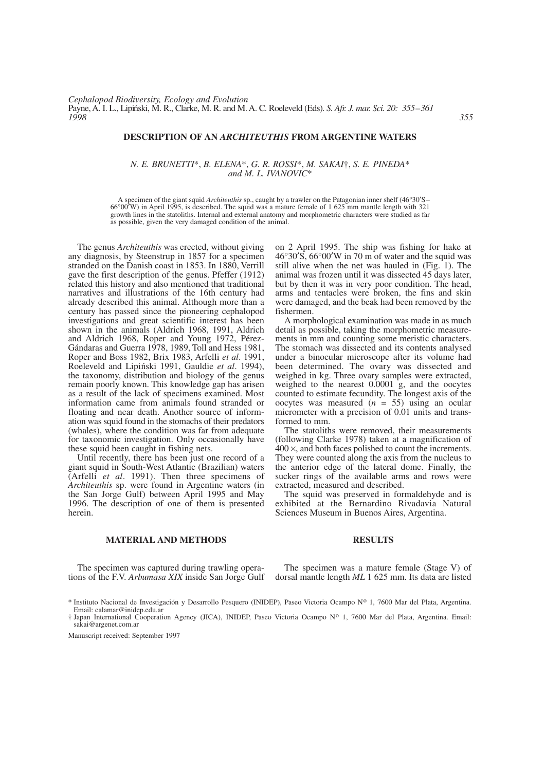# **DESCRIPTION OF AN** *ARCHITEUTHIS* **FROM ARGENTINE WATERS**

# *N. E. BRUNETTI*\*, *B. ELENA*\*, *G. R. ROSSI*\*, *M. SAKAI*†, *S. E. PINEDA*\* *and M. L. IVANOVIC*\*

A specimen of the giant squid *Architeuthis* sp., caught by a trawler on the Patagonian inner shelf (46°30′S– 66°00′W) in April 1995, is described. The squid was a mature female of 1 625 mm mantle length with 321 growth lines in the statoliths. Internal and external anatomy and morphometric characters were studied as far as possible, given the very damaged condition of the animal.

The genus *Architeuthis* was erected, without giving any diagnosis, by Steenstrup in 1857 for a specimen stranded on the Danish coast in 1853. In 1880, Verrill gave the first description of the genus. Pfeffer (1912) related this history and also mentioned that traditional narratives and illustrations of the 16th century had already described this animal. Although more than a century has passed since the pioneering cephalopod investigations and great scientific interest has been shown in the animals (Aldrich 1968, 1991, Aldrich and Aldrich 1968, Roper and Young 1972, Pérez-Gándaras and Guerra 1978, 1989, Toll and Hess 1981, Roper and Boss 1982, Brix 1983, Arfelli *et al*. 1991, Roeleveld and Lipiński 1991, Gauldie et al. 1994), the taxonomy, distribution and biology of the genus remain poorly known. This knowledge gap has arisen as a result of the lack of specimens examined. Most information came from animals found stranded or floating and near death. Another source of information was squid found in the stomachs of their predators (whales), where the condition was far from adequate for taxonomic investigation. Only occasionally have these squid been caught in fishing nets.

Until recently, there has been just one record of a giant squid in South-West Atlantic (Brazilian) waters (Arfelli *et al*. 1991). Then three specimens of *Architeuthis* sp. were found in Argentine waters (in the San Jorge Gulf) between April 1995 and May 1996. The description of one of them is presented herein.

on 2 April 1995. The ship was fishing for hake at 46°30′S, 66°00′W in 70 m of water and the squid was still alive when the net was hauled in (Fig. 1). The animal was frozen until it was dissected 45 days later, but by then it was in very poor condition. The head, arms and tentacles were broken, the fins and skin were damaged, and the beak had been removed by the fishermen.

A morphological examination was made in as much detail as possible, taking the morphometric measurements in mm and counting some meristic characters. The stomach was dissected and its contents analysed under a binocular microscope after its volume had been determined. The ovary was dissected and weighed in kg. Three ovary samples were extracted, weighed to the nearest 0.0001 g, and the oocytes counted to estimate fecundity. The longest axis of the oocytes was measured (*n* = 55) using an ocular micrometer with a precision of 0.01 units and transformed to mm.

The statoliths were removed, their measurements (following Clarke 1978) taken at a magnification of  $400 \times$ , and both faces polished to count the increments. They were counted along the axis from the nucleus to the anterior edge of the lateral dome. Finally, the sucker rings of the available arms and rows were extracted, measured and described.

The squid was preserved in formaldehyde and is exhibited at the Bernardino Rivadavia Natural Sciences Museum in Buenos Aires, Argentina.

# **MATERIAL AND METHODS**

The specimen was captured during trawling operations of the F.V. *Arbumasa XIX* inside San Jorge Gulf

The specimen was a mature female (Stage V) of dorsal mantle length *ML* 1 625 mm. Its data are listed

Manuscript received: September 1997

#### **RESULTS**

<sup>\*</sup> Instituto Nacional de Investigación y Desarrollo Pesquero (INIDEP), Paseo Victoria Ocampo No 1, 7600 Mar del Plata, Argentina. Email: calamar@inidep.edu.ar

<sup>†</sup> Japan International Cooperation Agency (JICA), INIDEP, Paseo Victoria Ocampo No 1, 7600 Mar del Plata, Argentina. Email: sakai@argenet.com.ar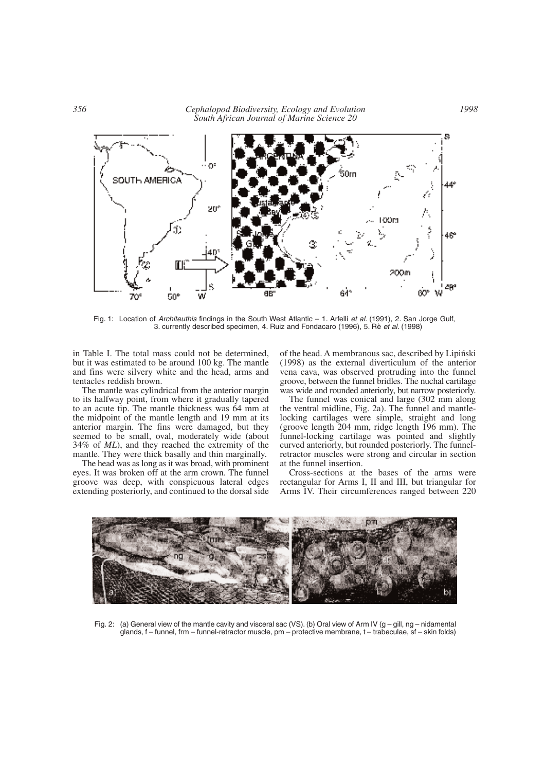

Fig. 1: Location of *Architeuthis* findings in the South West Atlantic – 1. Arfelli *et al*. (1991), 2. San Jorge Gulf, 3. currently described specimen, 4. Ruiz and Fondacaro (1996), 5. Rè *et al*. (1998)

in Table I. The total mass could not be determined, but it was estimated to be around 100 kg. The mantle and fins were silvery white and the head, arms and tentacles reddish brown.

The mantle was cylindrical from the anterior margin to its halfway point, from where it gradually tapered to an acute tip. The mantle thickness was 64 mm at the midpoint of the mantle length and 19 mm at its anterior margin. The fins were damaged, but they seemed to be small, oval, moderately wide (about 34% of *ML*), and they reached the extremity of the mantle. They were thick basally and thin marginally.

The head was as long as it was broad, with prominent eyes. It was broken off at the arm crown. The funnel groove was deep, with conspicuous lateral edges extending posteriorly, and continued to the dorsal side of the head. A membranous sac, described by Lipiński (1998) as the external diverticulum of the anterior vena cava, was observed protruding into the funnel groove, between the funnel bridles. The nuchal cartilage was wide and rounded anteriorly, but narrow posteriorly.

The funnel was conical and large (302 mm along the ventral midline, Fig. 2a). The funnel and mantlelocking cartilages were simple, straight and long (groove length 204 mm, ridge length 196 mm). The funnel-locking cartilage was pointed and slightly curved anteriorly, but rounded posteriorly. The funnelretractor muscles were strong and circular in section at the funnel insertion.

Cross-sections at the bases of the arms were rectangular for Arms I, II and III, but triangular for Arms IV. Their circumferences ranged between 220



Fig. 2: (a) General view of the mantle cavity and visceral sac (VS). (b) Oral view of Arm IV ( $q - q$ ill, ng – nidamental glands, f – funnel, frm – funnel-retractor muscle, pm – protective membrane, t – trabeculae, sf – skin folds)

*1998*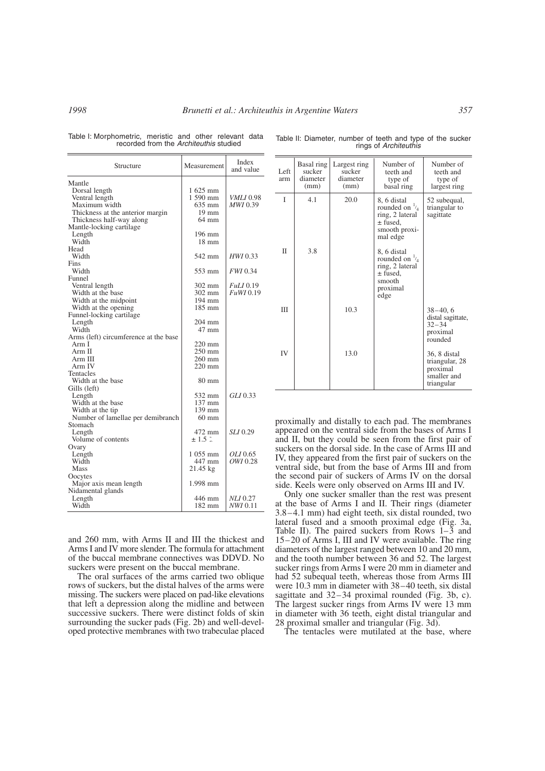|  | Table I: Morphometric, meristic and other relevant data |  |  |  |
|--|---------------------------------------------------------|--|--|--|
|  | recorded from the Architeuthis studied                  |  |  |  |

| Structure                             | Measurement      | Index<br>and value |
|---------------------------------------|------------------|--------------------|
| Mantle                                |                  |                    |
| Dorsal length                         | 1 625 mm         |                    |
| Ventral length                        | 1 590 mm         | <i>VMLI</i> 0.98   |
| Maximum width                         | 635 mm           | MWI 0.39           |
| Thickness at the anterior margin      | $19 \text{ mm}$  |                    |
| Thickness half-way along              | $64 \text{ mm}$  |                    |
| Mantle-locking cartilage              |                  |                    |
| Length                                | 196 mm           |                    |
| Width                                 | $18 \text{ mm}$  |                    |
| Head                                  |                  |                    |
| Width                                 | 542 mm           | HWI 0.33           |
| Fins                                  |                  |                    |
| Width                                 | 553 mm           | FWI 0.34           |
| Funnel                                |                  |                    |
| Ventral length                        | 302 mm           | <i>FuLI</i> 0.19   |
| Width at the base                     | $302 \text{ mm}$ | <i>FuWI</i> 0.19   |
| Width at the midpoint                 | 194 mm           |                    |
| Width at the opening                  | 185 mm           |                    |
| Funnel-locking cartilage              |                  |                    |
| Length                                | 204 mm           |                    |
| Width                                 | 47 mm            |                    |
| Arms (left) circumference at the base |                  |                    |
| Arm I                                 | 220 mm           |                    |
| Arm II                                | 250 mm           |                    |
| Arm III                               | $260$ mm         |                    |
| Arm IV                                | 220 mm           |                    |
| Tentacles                             |                  |                    |
| Width at the base                     | $80 \text{ mm}$  |                    |
| Gills (left)                          |                  |                    |
| Length                                | 532 mm           | GLI 0.33           |
| Width at the base                     | $137$ mm         |                    |
| Width at the tip                      | 139 mm           |                    |
| Number of lamellae per demibranch     | $60$ mm          |                    |
| Stomach                               |                  |                    |
| Length                                | 472 mm           | <i>SLI</i> 0.29    |
| Volume of contents                    | ± 1.51           |                    |
| Ovary                                 |                  |                    |
| Length                                | 1 055 mm         | <i>OLI</i> 0.65    |
| Width                                 | 447 mm           | OWI 0.28           |
| Mass                                  | 21.45 kg         |                    |
| Oocytes                               |                  |                    |
| Major axis mean length                | 1.998 mm         |                    |
| Nidamental glands                     |                  |                    |
| Length                                | 446 mm           | <i>NLI</i> 0.27    |
| Width                                 | 182 mm           | NWI 0.11           |

and 260 mm, with Arms II and III the thickest and Arms I and IV more slender. The formula for attachment of the buccal membrane connectives was DDVD. No suckers were present on the buccal membrane.

The oral surfaces of the arms carried two oblique rows of suckers, but the distal halves of the arms were missing. The suckers were placed on pad-like elevations that left a depression along the midline and between successive suckers. There were distinct folds of skin surrounding the sucker pads (Fig. 2b) and well-developed protective membranes with two trabeculae placed

| Left<br>arm | Basal ring<br>sucker<br>diameter<br>(mm) | Largest ring<br>sucker<br>diameter<br>(mm) | Number of<br>teeth and<br>type of<br>basal ring                                                          | Number of<br>teeth and<br>type of<br>largest ring                       |
|-------------|------------------------------------------|--------------------------------------------|----------------------------------------------------------------------------------------------------------|-------------------------------------------------------------------------|
| T           | 4.1                                      | 20.0                                       | 8, 6 distal<br>rounded on $\frac{1}{4}$<br>ring, 2 lateral<br>$\pm$ fused,<br>smooth proxi-<br>mal edge  | 52 subequal,<br>triangular to<br>sagittate                              |
| П           | 3.8                                      |                                            | 8, 6 distal<br>rounded on $\frac{1}{4}$<br>ring, 2 lateral<br>$\pm$ fused,<br>smooth<br>proximal<br>edge |                                                                         |
| Ш           |                                          | 10.3                                       |                                                                                                          | $38 - 40.6$<br>distal sagittate,<br>$32 - 34$<br>proximal<br>rounded    |
| IV          |                                          | 13.0                                       |                                                                                                          | 36, 8 distal<br>triangular, 28<br>proximal<br>smaller and<br>triangular |

Table II: Diameter, number of teeth and type of the sucker rings of *Architeuthis*

proximally and distally to each pad. The membranes appeared on the ventral side from the bases of Arms I and II, but they could be seen from the first pair of suckers on the dorsal side. In the case of Arms III and IV, they appeared from the first pair of suckers on the ventral side, but from the base of Arms III and from the second pair of suckers of Arms IV on the dorsal side. Keels were only observed on Arms III and IV.

Only one sucker smaller than the rest was present at the base of Arms I and II. Their rings (diameter 3.8–4.1 mm) had eight teeth, six distal rounded, two lateral fused and a smooth proximal edge (Fig. 3a, Table II). The paired suckers from Rows 1–3 and 15–20 of Arms I, III and IV were available. The ring diameters of the largest ranged between 10 and 20 mm, and the tooth number between 36 and 52. The largest sucker rings from Arms I were 20 mm in diameter and had 52 subequal teeth, whereas those from Arms III were 10.3 mm in diameter with 38–40 teeth, six distal sagittate and 32–34 proximal rounded (Fig. 3b, c). The largest sucker rings from Arms IV were 13 mm in diameter with 36 teeth, eight distal triangular and 28 proximal smaller and triangular (Fig. 3d).

The tentacles were mutilated at the base, where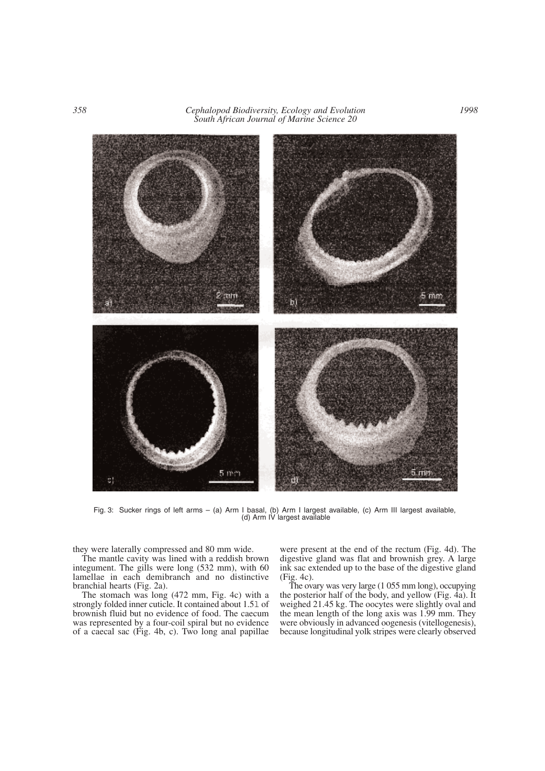

Fig. 3: Sucker rings of left arms – (a) Arm I basal, (b) Arm I largest available, (c) Arm III largest available, (d) Arm IV largest available

they were laterally compressed and 80 mm wide.

The mantle cavity was lined with a reddish brown integument. The gills were long (532 mm), with 60 lamellae in each demibranch and no distinctive branchial hearts (Fig. 2a).

The stomach was long (472 mm, Fig. 4c) with a strongly folded inner cuticle. It contained about 1.5l of brownish fluid but no evidence of food. The caecum was represented by a four-coil spiral but no evidence of a caecal sac (Fig. 4b, c). Two long anal papillae

were present at the end of the rectum (Fig. 4d). The digestive gland was flat and brownish grey. A large ink sac extended up to the base of the digestive gland (Fig. 4c).

The ovary was very large (1 055 mm long), occupying the posterior half of the body, and yellow (Fig.  $4a$ ). It weighed 21.45 kg. The oocytes were slightly oval and the mean length of the long axis was 1.99 mm. They were obviously in advanced oogenesis (vitellogenesis), because longitudinal yolk stripes were clearly observed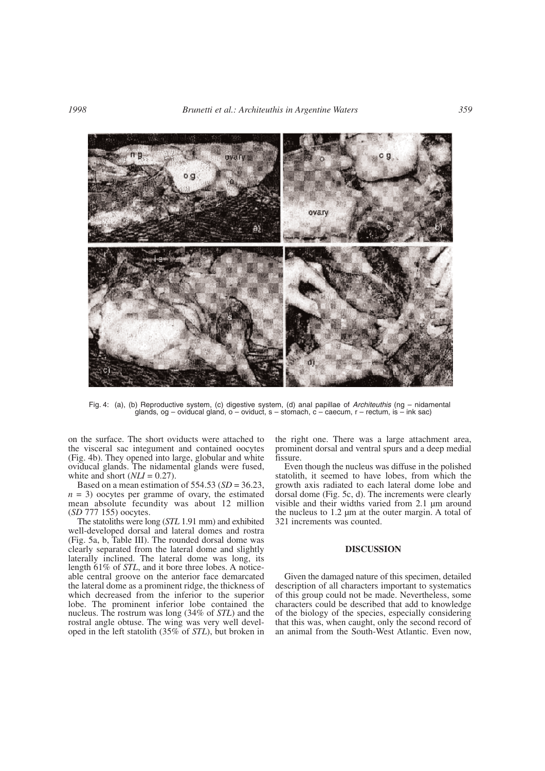

Fig. 4: (a), (b) Reproductive system, (c) digestive system, (d) anal papillae of *Architeuthis* (ng – nidamental glands, og – oviducal gland, o – oviduct, s – stomach, c – caecum, r – rectum, is – ink sac)

on the surface. The short oviducts were attached to the visceral sac integument and contained oocytes (Fig. 4b). They opened into large, globular and white oviducal glands. The nidamental glands were fused, white and short  $(NLI = 0.27)$ .<br>Based on a mean estimation of 554.53 ( $SD = 36.23$ ,

 $n = 3$ ) oocytes per gramme of ovary, the estimated mean absolute fecundity was about 12 million (*SD* 777 155) oocytes.

The statoliths were long (*STL* 1.91 mm) and exhibited well-developed dorsal and lateral domes and rostra (Fig. 5a, b, Table III). The rounded dorsal dome was clearly separated from the lateral dome and slightly laterally inclined. The lateral dome was long, its length 61% of *STL*, and it bore three lobes. A noticeable central groove on the anterior face demarcated the lateral dome as a prominent ridge, the thickness of which decreased from the inferior to the superior lobe. The prominent inferior lobe contained the nucleus. The rostrum was long (34% of *STL*) and the rostral angle obtuse. The wing was very well developed in the left statolith (35% of *STL*), but broken in the right one. There was a large attachment area, prominent dorsal and ventral spurs and a deep medial fissure.

Even though the nucleus was diffuse in the polished statolith, it seemed to have lobes, from which the growth axis radiated to each lateral dome lobe and dorsal dome (Fig. 5c, d). The increments were clearly visible and their widths varied from 2.1 µm around the nucleus to 1.2 µm at the outer margin. A total of 321 increments was counted.

# **DISCUSSION**

Given the damaged nature of this specimen, detailed description of all characters important to systematics of this group could not be made. Nevertheless, some characters could be described that add to knowledge of the biology of the species, especially considering that this was, when caught, only the second record of an animal from the South-West Atlantic. Even now,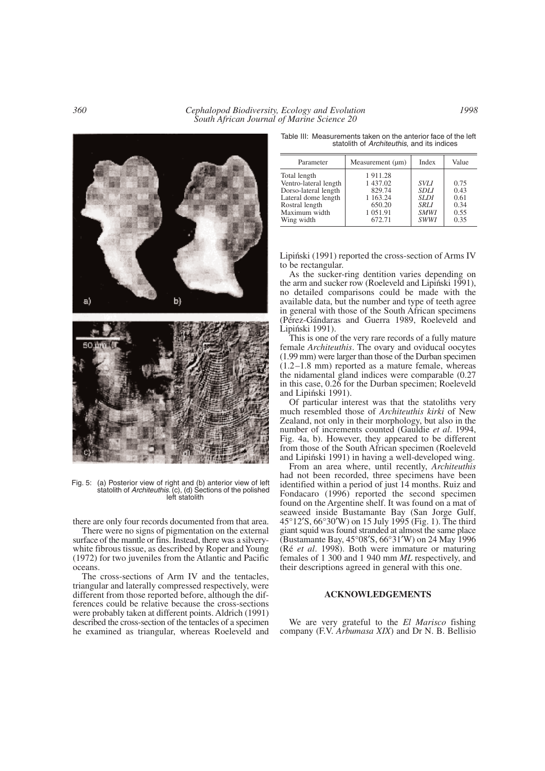*360 Cephalopod Biodiversity, Ecology and Evolution South African Journal of Marine Science 20*



Fig. 5: (a) Posterior view of right and (b) anterior view of left statolith of *Architeuthis*. (c), (d) Sections of the polished left statolith

there are only four records documented from that area.

There were no signs of pigmentation on the external surface of the mantle or fins. Instead, there was a silverywhite fibrous tissue, as described by Roper and Young (1972) for two juveniles from the Atlantic and Pacific oceans.

The cross-sections of Arm IV and the tentacles, triangular and laterally compressed respectively, were different from those reported before, although the differences could be relative because the cross-sections were probably taken at different points. Aldrich (1991) described the cross-section of the tentacles of a specimen he examined as triangular, whereas Roeleveld and

Table III: Measurements taken on the anterior face of the left statolith of *Architeuthis*, and its indices

| Parameter                                                                                                                             | Measurement (µm)                                                           | Index                                                                                  | Value                                        |
|---------------------------------------------------------------------------------------------------------------------------------------|----------------------------------------------------------------------------|----------------------------------------------------------------------------------------|----------------------------------------------|
| Total length<br>Ventro-lateral length<br>Dorso-lateral length<br>Lateral dome length<br>Rostral length<br>Maximum width<br>Wing width | 1911.28<br>1 437.02<br>829.74<br>1 1 63.24<br>650.20<br>1 051.91<br>672.71 | <b>SVLI</b><br><b>SDLI</b><br><b>SLDI</b><br><b>SRLI</b><br><b>SMWI</b><br><b>SWWI</b> | 0.75<br>0.43<br>0.61<br>0.34<br>0.55<br>0.35 |
|                                                                                                                                       |                                                                            |                                                                                        |                                              |

Lipiński (1991) reported the cross-section of Arms IV to be rectangular.

As the sucker-ring dentition varies depending on the arm and sucker row (Roeleveld and Lipiński 1991), no detailed comparisons could be made with the available data, but the number and type of teeth agree in general with those of the South African specimens (Pérez-Gándaras and Guerra 1989, Roeleveld and Lipiński 1991).

This is one of the very rare records of a fully mature female *Architeuthis*. The ovary and oviducal oocytes (1.99 mm) were larger than those of the Durban specimen (1.2–1.8 mm) reported as a mature female, whereas the nidamental gland indices were comparable (0.27 in this case, 0.26 for the Durban specimen; Roeleveld and Lipiński 1991).

Of particular interest was that the statoliths very much resembled those of *Architeuthis kirki* of New Zealand, not only in their morphology, but also in the number of increments counted (Gauldie *et al*. 1994, Fig. 4a, b). However, they appeared to be different from those of the South African specimen (Roeleveld and Lipiński 1991) in having a well-developed wing.

From an area where, until recently, *Architeuthis* had not been recorded, three specimens have been identified within a period of just 14 months. Ruiz and Fondacaro (1996) reported the second specimen found on the Argentine shelf. It was found on a mat of seaweed inside Bustamante Bay (San Jorge Gulf, 45°12′S, 66°30′W) on 15 July 1995 (Fig. 1). The third giant squid was found stranded at almost the same place (Bustamante Bay, 45°08′S, 66°31′W) on 24 May 1996 (Ré *et al*. 1998). Both were immature or maturing females of 1 300 and 1 940 mm *ML* respectively, and their descriptions agreed in general with this one.

# **ACKNOWLEDGEMENTS**

We are very grateful to the *El Marisco* fishing company (F.V. *Arbumasa XIX*) and Dr N. B. Bellisio